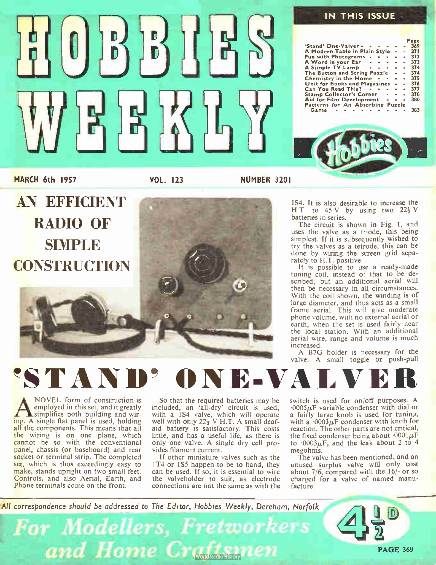

MARCH 6th 1957

VOL. 123 NUMBER 3201

AN EFFICIENT RADIO OF SIMPLE **CONSTRUCTION** 



#### 1S4. It is also desirable to increase the H.T. to  $45$  V by using two  $22\frac{1}{2}$  V batteries in series.

The circuit is shown in Fig. 1, and uses the valve as a triode, this being simplest. If it is subsequently wished to try the valves as a tetrode, this can be done by wiring the screen grid separately to H.T. positive.

It is possible to use a ready-made tuning coil, instead of that to be described, but an additional aerial will then be necessary in all circumstances. With the coil shown, the winding is of large diameter, and thus acts as a small frame aerial. This will give moderate phone volume, with no external aerial or earth, when the set is used fairly near the local station. With an additional aerial wire, range and volume is much increased.

A B7G holder is necessary for the valve. A small toggle or push-pull

### 'STANI DNE-VAL

NOVEL form of construction is<br>
simplived in this set, and it greatly<br>
ing. A single flat panel is used, holding NOVEL form of construction is employed in this set, and it greatly simplifies both building and wirall the components. This means that all the wiring is on one plane, which cannot be so with the conventional panel, chassis (or baseboard) and rear socket or terminal strip. The completed set, which is thus exceedingly easy to make, stands upright on two small feet. Controls, and also Aerial, Earth, and Phone terminals come on the front.

So that the required batteries may be included, an 'all-dry' circuit is used, with a 1S4 valve, which will operate well with only  $22\frac{1}{2}$  V H.T. A small deafaid battery is satisfactory. This costs little, and has a useful life, as there is only one valve. A single dry cell provides filament current.

If other miniature valves such as the 1T4 or 1S5 happen to be to hand, they can be used. If so, it is essential to wire the valveholder to suit, as electrode connections are not the same as with the switch is used for on/off purposes. A  $.0005\mu$ F variable condenser with dial or a fairly large knob is used for tuning, with a  $.0003 \mu$ F condenser with knob for reaction. The other parts are not critical, the fixed condenser being about  $\cdot 0001 \mu$ F to  $.0003\mu$ F, and the leak about 2 to 4 megohms.

The valve has been mentioned, and an unused surplus valve will only cost about 7/6, compared with the 16/- or so charged for a valve of named manufacture.

All correspondence should be addressed to The Editor, Hobbies Weekly, Dereham, Norfolk

**For Modellers, Fretworkers** and Home Craftsmen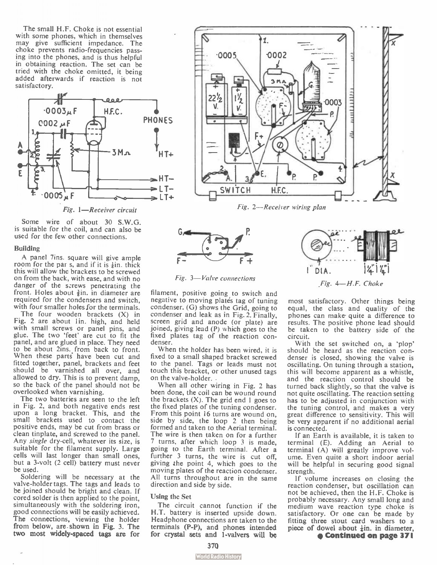The small H.F. Choke is not essential with some phones, which in themselves may give sufficient impedance. The choke prevents radio-frequencies passing into the phones, and is thus helpful in obtaining reaction. The set can be tried with the choke omitted, it being added afterwards if reaction is not satisfactory.



Fig. 1—Receiver circuit

Some wire of about 30 S.W.G. is suitable for the coil, and can also be used for the few other connections.

#### Building

A panel 7ins. square will give ample room for the par s, and if it is  $\frac{1}{2}$ in, thick this will allow the brackets to be screwed on from the back, with ease, and with no danger of the screws penetrating the front. Holes about  $\frac{3}{2}$ in. in diameter are required for the condensers and switch, with four smaller holes for the terminals.

The four wooden brackets (X) in Fig. 2 are about 1in. high, and held with small screws or panel pins, and glue. The two 'feet' are cut to fit the panel, and are glued in place. They need to be about 2ins. from back to front. When these parts have been cut and fitted together, panel, brackets and feet should be varnished all over, and allowed to dry. This is to prevent damp, so the back of the panel should not be overlooked when varnishing.

The two batteries are seen to the left in Fig. 2, and both negative ends rest upon a long bracket. This, and the small brackets used to contact the positive ends, may be cut from brass or clean tinplate, and screwed to the panel. Any single dry-cell, whatever its size, is suitable for the filament supply. Large cells will last longer than small ones, but a 3-volt (2 cell) battery must never be used.

Soldering will be necessary at the valve-holder tags. The tags and leads to be joined should be bright and clean. If cored solder is then applied to the point, simultaneously with the soldering iron, good connections will be easily achieved. The connections, viewing the holder from below, are shown in Fig. 3. The two most widely-spaced tags are for





filament, positive going to switch and negative to moving platés tag of tuning condenser. (G) shows the Grid, going to condenser and leak as in Fig. 2. Finally, screen grid and anode (or plate) are joined, giving lead (P) which goes to the fixed plates tag of the reaction condenser.

When the holder has been wired, it is fixed to a small shaped bracket screwed to the panel. Tags or leads must not touch this bracket, or other unused tags on the valve-holder.

When all other wiring in Fig. 2 has been done, the coil can be wound round the brackets  $(X)$ . The grid end 1 goes to the fixed plates of the tuning condenser. From this point 16 turns are wound on, side by side, the loop 2 then being formed and taken to the Aerial terminal. The wire is then taken on for a further 7 turns, after which loop 3 is made, going to the Earth terminal. After a further 3 turns, the wire is cut off, giving the point 4, which goes to the moving plates of the reaction condenser. All turns throughout are in the same direction and side by side.

### Using the Set

The circuit cannot function if the H.T. battery is inserted upside down. Headphone connections are taken to the terminals (P-P), and phones intended for crystal sets and 1-valvers will be

most satisfactory. Other things being equal, the class and quality of the phones can make quite a difference to results. The positive phone lead should be taken to the battery side of the circuit.

4—H.F. Choke

 $1$ <sup> $D(A$ </sup>

With the set switched on, a 'plop' should be heard as the reaction condenser is closed, showing the valve is oscillating. On tuning through a station, this will become apparent as a whistle, and the reaction control should be turned back slightly, so that the valve is not quite oscillating. The reaction setting has to be adjusted in conjunction with the tuning control, and makes a very great difference to sensitivity. This will be very apparent if no additional aerial is connected.

If an Earth is available, it is taken to terminal (E). Adding an Aerial to terminal (A) will greatly improve volume. Even quite a short indoor aerial will be helpful in securing good signal strength.

If volume increases on closing the reaction condenser, but oscillation can not be achieved, then the H.F. Choke is probably necessary. Any small long and medium wave reaction type choke is satisfactory. Or one can be made by fitting three stout card washers to a piece of dowel about  $\frac{1}{2}$ in. in diameter,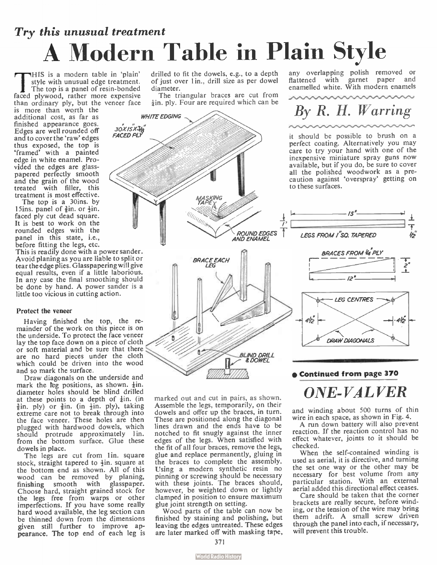## Try this unusual treatment A Modern Table in Plain Style

THIS is a modern table in plain<br>style with unusual edge treatment.<br>faced plywood, rather more expensive HIS is a modern table in 'plain' style with unusual edge treatment. The top is a panel of resin-bonded than ordinary ply, but the veneer face

30X /S X3/<sup>8</sup> FACED PLY

**WHITE EDGING** 

is more than worth the additional cost, as far as finished appearance goes. Edges are well rounded off and to cover the 'raw' edges thus exposed, the top is 'framed' with a painted edge in white enamel. Provided the edges are glasspapered perfectly smooth<br>and the grain of the wood treated with filler, this treatment is most effective.

The top is a 30ins. by 15ins. panel of  $\frac{3}{2}$ in. or  $\frac{1}{2}$ in. faced ply cut dead square. It is best to work on the rounded edges with the panel in this state, i.e., before fitting the legs, etc.

This is readily done with a power sander. Avoid planing as you are liable to split or tear the edge plies. Glasspapering will give equal results, even if a little laborious. In any case the final smoothing should be done by hand. A power sander is a little too vicious in cutting action.

### Protect the veneer

Having finished the top, the remainder of the work on this piece is on the underside. To protect the face veneer lay the top face down on a piece of cloth or soft material and be sure that there are no hard pieces under the cloth which could be driven into the wood and so mark the surface.

Draw diagonals on the underside and mark the lbg positions, as shown. +in. diameter holes should be blind drilled at these points to a depth of  $\frac{1}{4}$ in. (in  $\frac{3}{2}$ in. ply) or  $\frac{3}{2}$ in. (in  $\frac{1}{2}$ in. ply), taking extreme care not to break through into the face veneer. These holes are then plugged with hardwood dowels, which should protrude approximately lin. from the bottom surface. Glue these dowels in place.

The legs are cut from lin, square stock, straight tapered to  $\frac{1}{2}$ in. square at the bottom end as shown. All of this wood can be removed by planing, finishing smooth with glasspaper. Choose hard, straight grained stock for the legs free from warps or other imperfections. If you have some really hard wood available, the leg section can be thinned down from the dimensions given still further to improve appearance. The top end of each leg is

drilled to fit the dowels, e.g., to a depth of just over 1 in., drill size as per dowel diameter.

The triangular braces are cut from  $\frac{1}{2}$ in. ply. Four are required which can be

any overlapping polish removed or nattened with garliet paper and<br>enamelled white. With modern enamels

## By R. H. Warring

it should be possible to brush on a perfect coating. Alternatively you may care to try your hand with one of the inexpensive miniature spray guns now available, but if you do, be sure to cover all the polished woodwork as a precaution against 'overspray' getting on to these surfaces.



marked out and cut in pairs, as shown. Assemble the legs, temporarily, on their dowels and offer up the braces, in turn. These are positioned along the diagonal lines drawn and the ends have to be notched to fit snugly against the inner edges of the legs. When satisfied with the fit of all four braces, remove the legs, glue and replace permanently, gluing in the braces to complete the assembly. Using a modern synthetic resin no pinning or screwing should be necessary with these joints. The braces should, however, be weighted down or lightly clamped in position to ensure maximum glue joint strength on setting.

Wood parts of the table can now be finished by staining and polishing, but leaving the edges untreated. These edges are later marked off with masking tape,

### • Continued from page 370

ONE-VALVER

and winding about 500 turns of thin wire in each space, as shown in Fig. 4.

A run down battery will also prevent reaction. If the reaction control has no effect whatever, joints to it should be checked.

When the self-contained winding is used as aerial, it is directive, and turning the set one way or the other may be necessary for best volume from any particular station. With an external aerial added this directional effect ceases.

Care should be taken that the corner brackets are really secure, before winding, or the tension of the wire may bring them adrift. A small screw driven through the panel into each, if necessary, will prevent this trouble.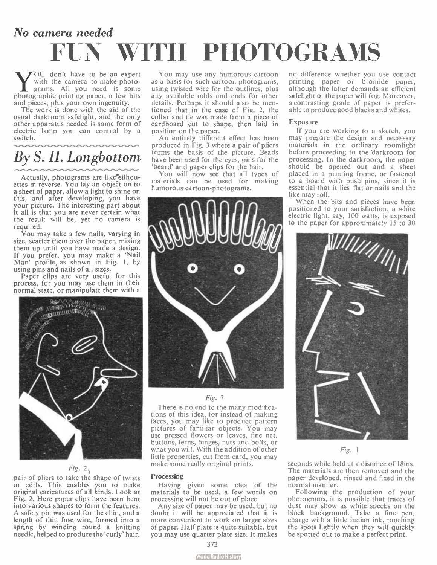## No camera needed WITH PHOTOGRAMS

**W** Suith the camera to be an expert<br>grams. All you need is some<br>photographic printing paper, a few bits OU don't have to be an expert with the camera to make photograms. All you need is some and pieces, plus your own ingenuity.

The work is done with the aid of the usual darkroom safelight, and the only other apparatus needed is some form of electric lamp you can control by a switch.

### By S. H. Longbottom

Actually, photograms are like<sup>r</sup>silhouettes in reverse. You lay an object on to a sheet of paper, allow a light to shine on this, and after developing, you have your picture. The interesting part about it all is that you are never certain what the result will be, yet no camera is required.

You may take a few nails, varying in size, scatter them over the paper, mixing them up until you have mace a design. If you prefer, you may make a 'Nail Man' profile, as shown in Fig. 1, by using pins and nails of all sizes.

Paper clips are very useful for this process, for you may use them in their normal state, or manipulate them with a



### Fig.  $2 \sqrt{ }$

pair ot pliers to take the shape of twists or cúrls. This enables you to make original caricatures of all kinds. Look at Fig. 2. Here paper clips have been bent into various shapes to form the features. A safety pin was used for the chin, and a length of thin fuse wire, formed into a spring by winding round a knitting needle, helped to produce the 'curly' hair.

You may use any humorous cartoon as a basis for such cartoon photograms, using twisted wire for the outlines, plus any available odds and ends for other details. Perhaps it should also be mentioned that in the case of Fig. 2, the collar and tie was made from a piece of cardboard cut to shape, then laid in position on the paper.

An entirely different effect has been produced in Fig. 3 where a pair of pliers forms the basis of the picture. Beads have been used for the eyes, pins for the 'beard' and paper clips for the hair.

You will now see that all types of materials can be used for making humorous cartoon-photograms.



Fig. 3

There is no end to the many modifications of this idea, for instead of making faces, you may like to produce pattern pictures of familiar objects. You may use pressed flowers or leaves, fine net, buttons, ferns, hinges, nuts and bolts, or what you will. With the addition of other little properties, cut from card, you may make some really original prints.

#### Processing

Having given some idea of the materials to be used, a few words on processing will not be out of place.

Any size of paper may be used, but no doubt it will be appreciated that it is more convenient to work on larger sizes of paper. Half plate is quite suitable, but you may use quarter plate size. It makes no difference whether you use contact printing paper or bromide paper, although the latter demands an efficient safelight or the paper will fog. Moreover, a contrasting grade of paper is preferable to produce good blacks and whites.

#### Exposure

If you are working to a sketch, you may prepare the design and necessary materials in the ordinary roomlight before proceeding to the darkroom for processing. In the darkroom, the paper should be opened out and a sheet placed in a printing frame, or fastened to a board with push pins, since it is essential that it lies flat or nails and the like may roll.

When the bits and pieces have been positioned to your satisfaction, a white electric light, say, 100 watts, is exposed



Fig. 1

seconds while held at a distance of 18ins. The materials are then removed and the paper developed, rinsed and fixed in the normal manner.

Following the production of your photograms, it is possible that traces of dust may show as white specks on the black background. Take a fine pen, charge with a little indian ink, touching the spots lightly when they will quickly be spotted out to make a perfect print.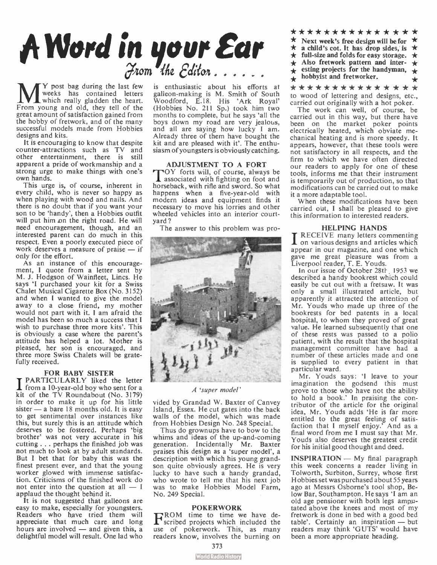

**M** Frost bag during the last few<br>which really gladden the heart.<br>From young and old, they tell of the Y post bag during the last few weeks has contained letters which really gladden the heart. great amount of satisfaction gained from the hobby of fretwork, and of the many successful models made from Hobbies designs and kits.

It is encouraging to know that despite counter-attractions such as TV and other entertainment, there is still apparent a pride of workmanship and a strong urge to make things with one's own hands.

This urge is, of course, inherent in every child, who is never so happy as when playing with wood and nails. And there is no doubt that if you want your son to be 'handy', then a Hobbies outfit will put him on the right road. He will need encouragement, though, and an interested parent can do much in this respect. Even a poorly executed piece of work deserves a measure of praise — if only for the effort.

As an instance of this encouragement, I quote from a letter sent by M. J. Hodgson of Wainfleet, Lincs. He says 'I purchased your kit for a Swiss Chalet Musical Cigarette Box ( No. 3152) and when I wanted to give the model away to a close friend, my mother would not part with it. I am afraid the model has been so much a success that I wish to purchase three more kits'. This is obviously, a case where the parent's attitude has helped a lot. Mother is pleased, her son is encouraged, and three more Swiss Chalets will be gratefully received.

FOR BABY SISTER<br>PARTICULARLY liked the letter  $\Gamma$  from a 10-year-old boy who sent for a kit of the TV Roundabout (No. 3179) in order to make it up for his little sister — a bare 18 months old. It is easy to get sentimental over instances like this, but surely this is an attitude which deserves to be fostered. Perhaps 'big brother' was not very accurate in his cutting . . . perhaps the finished job was not much to look at by adult standards. But I bet that for baby this was the finest present ever, and that the young worker glowed with immense satisfaction. Criticisms of the finished work do not enter into the question at all — I applaud the thought behind it.

It is not suggested that galleons are easy to make, especially for youngsters. Readers who have tried them will appreciate that much care and long hours are involved — and given this, a delightful model will result. One lad who

is enthusiastic about his efforts at galleon-making is M. Smith of South Woodford, E.18. His 'Ark Royal' (Hobbies No. 211 Sp.) took him two months to complete, but he says 'all the boys down my road are very jealous, and all are saying how lucky I am. Already three of them have bought the kit and are pleased with it'. The enthusiasm of youngsters is obviously catching.

ADJUSTMENT TO A FORT<br>TOY forts will, of course, always be s associated with fighting on foot and horseback, with rifle and sword. So what happens when a five-year-old with modern ideas and equipment finds it necessary to move his lorries and other wheeled vehicles into an interior courtyard ?

The answer to this problem was pro-



A `super model'

vided by Grandad W. Baxter of Canvey Island, Essex. He cut gates into the back walls of the model, which was made from Hobbies Design No. 248 Special.

Thus do grownups have to bow to the whims and ideas of the up-and-coming generation. Incidentally Mr. Baxter praises this design as a 'super model', a description with which his young grandson quite obviously agrees. He is very lucky to have such a handy grandad, who wrote to tell me that his next job was to make Hobbies Model Farm, No. 249 Special.

POKERWORK<br>
FROM time to time we have de-<br>
Scribed projects which included the use of pokerwork. This, as many readers know, involves the burning on

- \* \* \* \* \* \* \* \* \* \* \* \* \* \*  $\star$  Next week's free design will be for  $\star$  a child's cot. It has drop sides is a child's cot. It has drop sides, is  $\star$  $\star$  full-size and folds for easy storage.  $\star$  $\div$  Also fretwork pattern and inter-  $\div$  $\div$  esting projects for the handyman,  $\div$
- $\uparrow$  hobbyist and fretworker.

\* \* \* \* \* \* \* \* \* \* \* \* \* \* to wood of lettering and designs, etc., carried out originally with a hot poker.

The work can well, of course, be carried out in this way, but there have been on the market poker points electrically heated, which obviate mechanical heating and is more speedy. It appears, however, that these tools were not satisfactory in all respects, and the firm to which we have often directed our readers to annly for one of these tools, informs me that their instrument is temporarily out of production, so that modifications can be carried out to make it a more adaptable tool.

When these modifications have been carried out, I shall be pleased to give this information to interested readers.

#### HELPING HANDS

I RECEIVE many letters commenting<br>I on various designs and articles which appear in our magazine, and one which gave me great pleasure was from a Liverpool reader, T. E. Youds.

In our issue of October 28th 1953 we described a handy bookrest which could easily be cut out with a fretsaw. It was only a small illustrated article, but apparently it attracted the attention of Mr. Youds who made up three of the bookrests for bed patents in a local hospital, to whom they proved of great value. He learned subsequently that one of these rests was passed to a polio patient, with the result that the hospital management committee have had a number of these articles made and one is supplied to every patient in that particular ward.

Mr. Youds says: 'I leave to your imagination the godsend this must prove to those who have not the ability to hold a book.' In praising the contributor of the article for the original idea, Mr. Youds adds 'He is far more entitled to the great feeling of satis-faction that I myself enjoy.' And as a final word from me I must say that Mr. Youds also deserves the greatest credit for his initial good thought and deed.

INSPIRATION — My final paragraph this week concerns a reader living in Tolworth, Surbiton, Surrey, whose first Hobbies set was purchased about 55 years ago at Messrs Osborne's tool shop, Below Bar, Southampton. He says 'I am an old age pensioner with both legs amputated above the knees and most of my fretwork is done in bed with a good bed table'. Certainly an inspiration — but readers may think 'GUTS' would have been a more appropriate heading.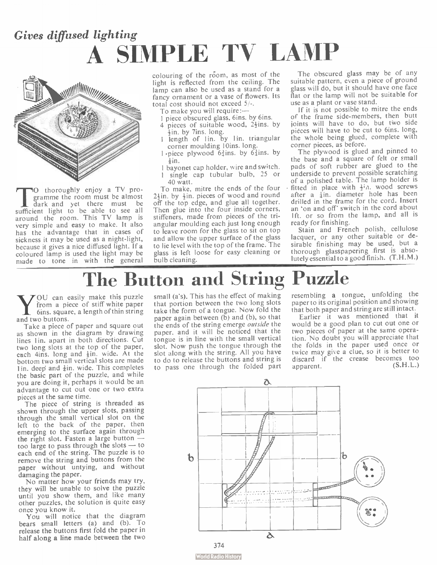### Gives diffused lighting A SIMPLE TV LAMP



The theroughly enjoy a 1 v pro-<br>
gramme the room must be almost<br>
there must be<br>
expected to be able to see all . thoroughly enjoy a TV programme the room must be almost sufficient light to be able to see all around the room. This TV lamp is very simple and easy to make. It also has the advantage that in cases of sickness it may be used as a night-light, because it gives a nice diffused light. If a coloured lamp is used the light may be made to tone in with the general

colouring of the réom, as most of the light is reflected from the ceiling. The lamp can also be used as a stand for a fancy ornament or a vase of flowers. Its total cost should not exceed 5/-.

To make you will require:-

- 1 piece obscured glass, 6ins. by 6ins.
- pieces of suitable wood,  $2\frac{1}{2}$ ins. by  $\frac{1}{2}$ in. by 7ins. long.
- 1 length of 1in. by 1in. triangular corner moulding 10ins. long.
- 1  $\cdot$  piece plywood  $6\frac{3}{4}$ ins. by  $6\frac{3}{4}$ ins. by .<br>+in.
- 1 bayonet cap holder, wire and switch. I single cap tubular bulb, 25 or
- 40 watt. To make, mitre the ends of the four

 $2\frac{1}{2}$ in. by  $\frac{1}{2}$ in. pieces of wood and round off the top edge, and glue all together. Then glue into the four inside corners, stiffeners, made from pieces of the triangular moulding each just long enough to leave room for the glass to sit on top and allow the upper surface of the glass to lie level with the top of the frame. The glass is left loose for easy cleaning or bulb cleaning.

The obscured glass may be of any suitable pattern, even a piece of ground glass will do, but it should have one face flat or the lamp will not be suitable for use as a plant or vase stand.

If it is not possible to mitre the ends of the frame side-members, then butt joints will have to do, but two side pièces will have to be cut to 6ins. long, the whole being glued, complete with corner pieces, as before.

The plywood is glued and pinned to the base and a square of felt or small pads of soft rubber are glued to the underside to prevent possible scratching of a polished table. The lamp holder is fitted in place with  $\frac{1}{2}$ in. wood screws after a lin. diameter hole has been drilled in the frame for the cord. Insert an 'on and off' switch in the cord about 1ft. or so from the lamp, and all is ready for finishing.

Stain and French polish, cellulose lacquer, or any other suitable or desirable finishing may be used, but a thorough glasspapering .first is absolutely essential to a good finish. (T.H. M.)

### The Button and String Puzzle

**V** from a piec<br>fins. square<br>and two buttons. OU can easily make this puzzle from a piece of stiff white paper 6ins. square, a length of thin string

Take a piece of paper and square out as shown in the diagram by drawing lines 1in. apart in both directions. Cut two long slots at the top of the paper, each 4ins. long and  $\frac{1}{2}$ in. wide. At the bottom two small vertical slots are made lin, deep and  $\frac{1}{4}$ in. wide. This completes the basic part of the puzzle, and while you are doing it, perhaps it would be an advantage to cut out one or two extra pieces at the same time.

The piece of string is threaded as shown through the upper slots, passing through the small vertical slot on the left to the back of the paper, then emerging to the surface again through the right slot. Fasten a large button too large to pass through the slots — to each end of the string. The puzzle is to remove the string and buttons from the paper without untying, and without damaging the paper.

No matter how your friends may try, they will be unable to solve the puzzle until you show them, and like many other puzzles, the solution is quite easy once you know it.

You will notice that the diagram bears small letters (a) and (b). To release the buttons first fold the paper in half along a line made between the two

small (a's). This has the effect of making that portion between the two long slots take the form of a tongue. Now fold the paper again between  $(b)$  and  $(b)$ , so that the ends of the string emerge outside the paper, and it will be noticed that the tongue is in line with the small vertical slot. Now push the tongue through the slot along with the string. All you have to do to release the buttons and string is to pass one through the folded part

resembling a tongue, unfolding the paper to its original position and showing that both paper and string are still intact.

Earlier it was mentioned that it would be a good plan to cut out one or two pieces of paper at the same operation. No doubt you will appreciate that the folds in the paper used once or twice may give a clue, so it is better to discard if the crease becomes too apparent. (S.H. L.)

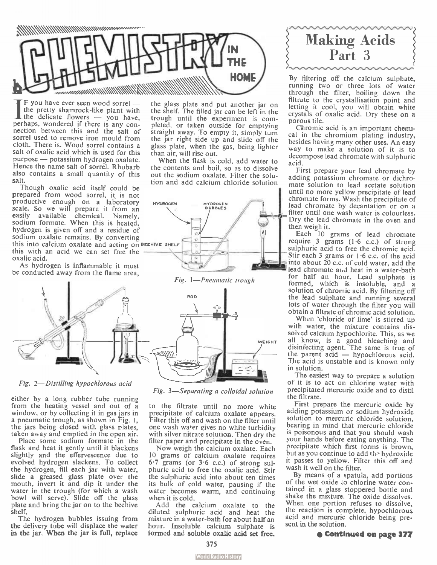

If you have ever seen wood sorrel —<br>the pretty shamrock-like plant with<br>the delicate flowers — you have, F you have ever seen wood sorrel the pretty shamrock-like plant with perhaps, wondered if there is any connection between this and the salt of sorrel used to remove iron mould from cloth. There is. Wood sorrel contains a salt of oxalic acid which is used for this purpose — potassium hydrogen oxalate. Hence the name salt of sorrel. Rhubarb also contains a small quantity of this salt.

Though oxalic acid itself could be prepared from wood sorrel, it is not productive enough on a laboratory scale. So we will prepare it from an easily available chemical. Namely, sodium formate. When this is heated, hydrogen is given off and a residue of sodium oxalate remains. By converting this into calcium oxalate and acting on BEEHIVE SHELF this with an acid we can set free the oxalic acid.

As hydrogen is inflammable it must be conducted away from the flame area,



Fig. 2—Distilling hypochlorous acid

either by a long rubber tube running from the heating vessel and out of a window, or by collecting it in gas jars in a pneumatic trough, as shown in Fig. 1, the jars being closed with glass plates, taken away and emptied in the open air.

Place some sodium formate in the flask and heat it gently until it blackens slightly and the effervescence due to evolved hydrogen slackens. To collect the hydrogen, fill each jar with water, slide a greased glass plate over the mouth, invert it and dip it under the water in the trough (for which a wash bowl will serve). Slide off the glass plate and bring the jar on to the beehive shelf.

The hydrogen bubbles issuing from the delivery tube will displace the water in the jar. When the jar is full, replace

the glass plate and put another jar on the shelf. The filled jar can be left in the trough until the experiment is completed, or taken outside for emptying straight away. To empty it, simply turn the jar right side up and slide off the glass plate, when the gas, being lighter than air, will rise out.

When the flask is cold, add water to the contents and boil, so as to dissolve out the sodium oxalate. Filter the solution and add calcium chloride solution



Fig. 1—Pneumatic trough

Fig. 3—Separating a colloidal solution to the filtrate until no more white precipitate of calcium oxalate appears. Filter this off and wash on the filter until one wash water gives no white turbidity with silver nitrate solution. Then dry the filter paper and precipitate in the oven. Now weigh the calcium oxalate. Each 10 grams of calcium oxalate requires 6.7 grams (or 3.6 c.c.) of strong sulphuric acid to free the oxalic acid. Stir the sulphuric acid into about ten times its bulk of cold water, pausing if the water becomes warm, and continuing



By filtering off the calcium sulphate, running two or three lots of water through the filter, boiling down the filtrate to the crystallisation point and letting it cool, you will obtain white crystals of oxalic acid. Dry these on a porous tile.

Chromic acid is an important chemical in the chromium plating industry, besides having many other uses. An easy way to make a solution of it is to decompose lead chromate with sulphuric acid.

First prepare your lead chromate by adding potassium chromate or dichromate solution to lead acetate solution until no more yellow precipitate of lead chromate forms. Wash the precipitate of lead chromate by decantation or on a filter until one wash water is colourless. Dry the lead chromate in the oven and then weigh it.

Each 10 grams of lead chromate require 3 grams ( 1.6 c.c.) of strong sulphuric acid to free the chromic acid. Stir each 3 grams or  $1.6$  c.c. of the acid into about  $20$  c.c. of cold water, add the lead chromate and heat in a water-bath for half an hour. Lead sulphate is formed, which is insoluble, and a solution of chromic acid. By filtering off the lead sulphate and running several lots of water through the filter you will obtain a filtrate of chromic acid solution.

When 'chloride of lime' is stirred up with water, the mixture contains dissolved calcium hypochlorite. This, as we all know, is a good bleaching and disinfecting agent. The same is true of the parent acid — hypochlorous acid. The acid is unstable and is known only in solution.

The easiest way to prepare a solution of it is to act on chlorine water with precipitated mercuric oxide and to distil the filtrate.

First prepare the mercuric oxide by adding potassium or sodium hydroxide solution to mercuric chloride solution, bearing in mind that mercuric chloride is poisonous and that you should wash your hands before eating anything. The precipitate which first forms is brown, but as you continue to add the hydroxide it passes to yellow. Filter this off and wash it well on the filter.

By means of a spatula, add portions of the wet oxide to chlorine water contained in a glass stoppered bottle and shake the mixture. The oxide dissolves. When one portion refuses to dissolve, the reaction is complete, hypochlorous acid and mercuric chloride being present in the solution.

• Continued on page 377

formed and soluble oxalic acid set free. 375

Add the calcium oxalate to the diluted sulphuric acid and heat the mixture in a water-bath for about half an hour. Insoluble calcium sulphate is

when it is cold.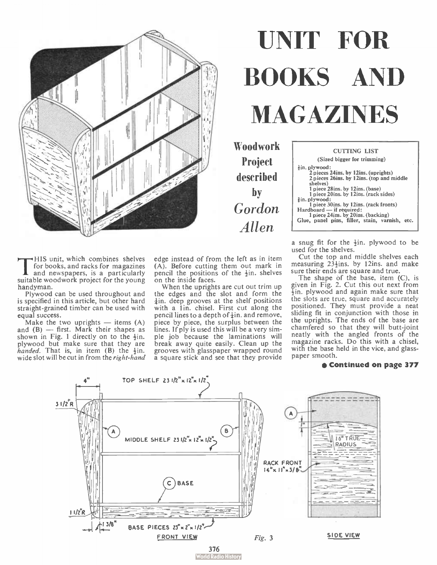

# UNIT FOR BOOKS AND MAGAZINES

Woodwork Project described by Gordon Allen

| <b>CUTTING LIST</b><br>(Sized bigger for trimming)                                                                                                                                                                                                                                                                                                                                      |  |
|-----------------------------------------------------------------------------------------------------------------------------------------------------------------------------------------------------------------------------------------------------------------------------------------------------------------------------------------------------------------------------------------|--|
|                                                                                                                                                                                                                                                                                                                                                                                         |  |
| $\frac{1}{2}$ in, plywood:<br>2 pieces 24ins, by 12ins, (uprights)<br>2 pieces 26ins, by 12ins, (top and middle<br>shelves)<br>1 piece 28ins. by 12ins. (base)<br>1 piece 20ins, by 12ins, (rack sides)<br>in. plywood:<br>1 piece 30ins. by 12ins. (rack fronts)<br>Hardboard - if required:<br>1 piece 24 ins. by 20 ins. (backing)<br>Glue, panel pins, filler, stain, varnish, etc. |  |

a snug fit for the  $\frac{1}{2}$ in. plywood to be used for the shelves.

Cut the top and middle shelves each measuring  $23\frac{1}{2}$ ins. by 12ins. and make sure their ends are square and true.

The shape of the base, item (C), is given in Fig. 2. Cut this out next from -fin, plywood and again make sure that the slots are true, square and accurately positioned. They must provide a neat sliding fit in conjunction with those in the uprights. The ends of the base are chamfered so that they will butt-joint neatly with the angled fronts of the magazine racks. Do this with a chisel, with the base held in the vice, and glasspaper smooth.

### e Continued on page 377



This unit, which combines shelves<br>and newspapers, is a particularly<br>suitable woodwork project for the young HIS unit, which combines shelves for books, and racks for magazines and newspapers, is a particularly handyman.

Plywood can be used throughout and is specified in this article, but other hard straight-grained timber can be used with equal success.

Make the two uprights  $-$  items  $(A)$ and  $(B)$  — first. Mark their shapes as shown in Fig. 1 directly on to the  $\frac{1}{2}$ in. plywood but make sure that they are<br>*handed*. That is, in item (B) the  $\frac{1}{2}$ in.<br>wide slot will be cut in from the *right-hand* 

edge instead of from the left as in item (A). Before cutting them out mark in pencil the positions of the  $\frac{1}{2}$ in, shelves on the inside faces.

When the uprights are cut out trim up the edges and the slot and form the  $\frac{1}{4}$ in, deep grooves at the shelf positions with a 1in. chisel. First cut along the pencil lines to a depth of  $\frac{1}{2}$ in. and remove, piece by piece, the surplus between the lines. If ply is used this will be a very simple job because the laminations will break away quite easily. Clean up the grooves with glasspaper wrapped round a square stick and see that they provide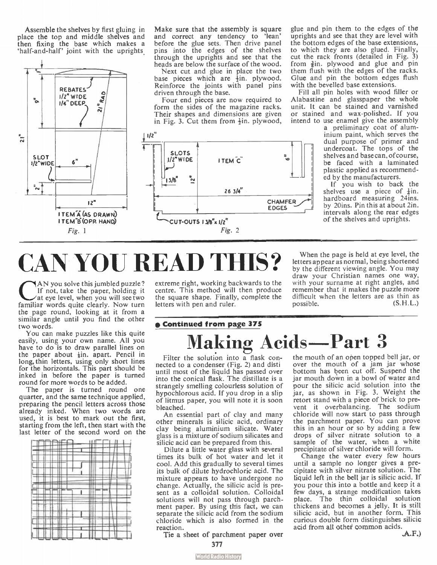Assemble the shelves by first gluing in place the top and middle shelves and then fixing the base which makes a 'half-and-half' joint with the uprights



Make sure that the assembly is square and correct any tendency to 'lean' before the glue sets. Then drive panel pins into the edges of the shelves through the uprights and see that the heads are below the surface of the wood.

Next cut and glue in place the two hase pieces which are  $\frac{1}{2}$ in. plywood. Reinforce the joints with panel pins driven through the base.

Four end pieces are now required to form the sides of the magazine racks. Their shapes and dimensions are given in Fig. 3. Cut them from  $\frac{1}{2}$ in, plywood,



glue and pin them to the edges of the uprights and see that they are level with the bottom edges of the base extensions, to which they are also glued. Finally, cut the rack fronts (detailed in Fig. 3) from  $\frac{3}{2}$ in, plywood and glue and pin them flush with the edges of the racks. Glue and pin the bottom edges flush with the bevelled base extensions.

Fill all pin holes with wood filler or Alabastine and glasspaper the whole unit. It can be stained and varnished or stained and wax-polished. If you intend to use enamel give the assembly

a preliminary coat of aluminium paint, which serves the dual purpose of primer and undercoat. The tops of the shelves and base can, of course, be faced with a laminated plastic applied as recommended by the manufacturers.

If you wish to back the shelves use a piece of  $\frac{1}{2}$ in. hardboard measuring 24ins. by 20ins. Pin this at about 2in. intervals along the rear edges of the shelves and uprights.

# CAN YOU READ THIS?

AN you solve this jumbled puzzle?<br>If not, take the paper, holding it<br>at eye level, when you will see two<br>familiar words quite clearly. Now turn AN you solve this jumbled puzzle? If not, take the paper, holding it at eye level, when you will see two the page round, looking at it from a similar angle until you find the other two words.

You can make puzzles like this quite easily, using your own name. All you have to do is to draw parallel lines on the paper about  $\frac{1}{2}$ in. apart. Pencil in long, thin letters, using only short lines for the horizontals. This part should be inked in before the paper is turned round for more words to be added.

The paper is turned round one quarter, and the same technique applied, preparing the pencil letters across those already inked. When two words are used, it is best to mark out the first, starting from the left, then start with the last letter of the second word on the

|           | 11<br>π<br><br><br>٠                                           |             | ı<br>I<br>ш              |                    |
|-----------|----------------------------------------------------------------|-------------|--------------------------|--------------------|
|           | <br><br>٠<br>--<br>л                                           | m<br>×<br>ı | ::::<br>÷<br><br><br>    | ±:<br>⇒            |
| <br>۰<br> | 拱<br>48<br><br>≖<br>⊶<br>۰<br>ı<br>۰<br>п<br>ш<br>٠<br>۵ź<br>d |             | <br>Ħ<br><br>▦<br>n<br>₩ | $\cdots$<br>u<br>۰ |
|           | ÷<br>٠<br><br>٠<br>m<br>п<br>٠<br>ı                            |             | <br>ш<br>H۴              |                    |
|           | ⊞<br><br>44<br>zı                                              |             |                          |                    |

extreme right, working backwards to the centre. This method will then produce the square shape. Finally, complete the letters with pen and ruler.

### **e Continued from page 375** laking Acids-Part 3

Filter the solution into a flask connected to a condenser (Fig. 2) and disti until most of the liquid has passed over into the conical flask. The distillate is a strangely smelling colourless solution of hypochlorous acid. If you drop in a slip of litmus paper, you will note it is soon bleached.

An essential part of clay and many other minerals is silicic acid, ordinary clay being aluminium silicate. Water glass is a mixture of sodium silicates and silicic acid can be prepared from this.

Dilute a little water glass with several times its bulk of hot water and let it cool. Add this gradually to several times its bulk of dilute hydrochloric acid. The mixture appears to have undergone no change. Actually, the silicic acid is present as a colloidal solution. Colloidal solutions will not pass through parchment paper. By using this fact, we can separate the silicic acid from the sodium chloride which is also formed in the reaction.

Tie a sheet of parchment paper over

377

When the page is held at eye level, the letters appear as normal, being shortened by the different viewing angle. You may draw your Christian names one way, with your surname at right angles, and remember that it makes the puzzle more difficult when the letters are as thin as possible. (S.H.L.)

the mouth of an open topped bell jar, or over the mouth of a jam jar whose bottom has been cut off. Suspend the jar mouth down in a bowl of water and pour the silicic acid solution into the jar, as shown in Fig. 3. Weight the retort stand with a piece of brick to prevent it overbalancing. The sodium chloride will now start to pass through the parchment paper. You can prove this in an hour or so by adding a few drops of silver nitrate solution to a sample of the water, when a white precipitate of silver chloride will form.

Change the water every few hours until a sample no longer gives a precipitate with silver nitrate solution. The liquid left in the bell jar is silicic acid. If you pour this into a bottle and keep it a few days, a strange modification takes place. The thin colloidal solution thickens and becomes a jelly, It is still silicic acid, but in another form. This curious double form distinguishes silicic acid from all other common acids.<br>(A.F.)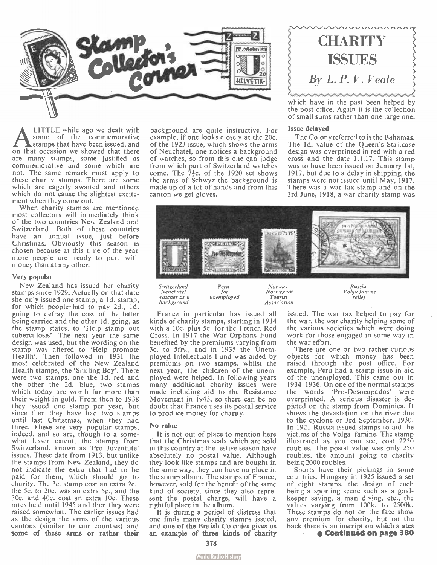

**A LITTLE** while ago we dealt with<br>stamps that have been issued, and<br>on that occasion we showed that there LITTLE while ago we dealt with some of the commemorative stamps that have been issued, and are many stamps, some justified as commemorative and some which are not. The same remark must apply to these charity stamps. There are some which are eagerly awaited and others which do not cause the slightest excitement when they come out.

When charity stamps are mentioned most collectors will immediately think of the two countries New Zealand and Switzerland. Both of these countries have an annual issue, just before Christmas. Obviously this season is chosen because at this time of the year more people are ready to part with money than at any other.

#### Very popular

New Zealand has issued her charity stamps since 1929. Actually on that date she only issued one stamp, a 1d. stamp, for which people- had to pay 2d., id. going to defray the cost of the letter being carried and the other Id. going, as the stamp states, to 'Help stamp out tuberculosis'. The next year the same design was used, but the wording on the stamp was altered to 'Help promote Health'. Then followed in 1931 the most celebrated of the New Zealand Health stamps, the 'Smiling Boy'. There were two stamps, one the 1d. red and the other the 2d. blue, two stamps which today are worth far more than their weight in gold. From then to 1938 they issued one stamp per year, but since then they have had two stamps until last Christmas, when they had three. These are very popular stamps, indeed, and so are, though to a somewhat lesser extent, the stamps from Switzerland, known as 'Pro Juventute' issues. These date from 1913, but unlike the stamps from New Zealand, they do not indicate the extra that had to be paid for them, which should go to charity. The 3c. stamp cost an extra 2c., the 5c. to 20c. was an extra 5c., and the 30c. and 40c. cost an extra 10c. These rates held until 1945 and then they were raised somewhat. The earlier issues had as the design the arms of the various cantons (similar to our counties) and some of these arms or rather their

background are quite instructive. For example, if one looks closely at the 20c. of the 1923 issue, which shows the arms of Neuchatel, one notices a background of watches, so from this one can judge from which part of Switzerland watches come. The  $7\frac{1}{3}$ c. of the 1920 set shows the arms of Schwyz the background is made up of a lot of hands and from this canton we get gloves.



which have in the past been helped by the post office. Again it is the collection of small sums rather than one large one.

### Issue delayed

The Colony referred to is the Bahamas. The 1d. value of the Oueen's Staircase design was overprinted in red with a red cross and the date 1.1.17. This stamp was to have been issued on January 1st, 1917, but due to a delay in shipping, the stamps were not issued until May, 1917. There was a war tax stamp and on the 3rd June, 1918, a war charity stamp was



Switzerland-Neuchatelwatches as a background

Norway Norwegian<br>Tourist Tourist Association

Russia-Volga famine relief

France in particular has issued all kinds of charity stamps, starting in 1914 with a 10c. plus 5c. for the French Red Cross. In 1917 the War Orphans Fund benefited by the premiums varying from 3c. to 5frs., and in 1935 the Unemployed Intellectuals Fund was aided by premiums on two stamps, whilst the next year, the children of the unemployed were helped. In following years many additional charity issues were made including aid to the Resistance Movement in 1943, so there can be no doubt that France uses its postal service to produce money for charity.

for unemployed

### No value

It is not out of place to mention here that the Christmas seals which are sold in this country at the festive season have absolutely no postal value. Although they look like stamps and are bought in the same way, they can have no place in the stamp album. The stamps of France, however, sold for the benefit of the same kind of society, since they also represent the postal charge, will have a rightful place in the album.

It is during a period of distress that one finds many charity stamps issued, and one of the British Colonies gives us an example of three kinds of charity issued. The war tax helped to pay for the war, the war charity helping some of the various societies which were doing work for those engaged in some way in the war effort.

There are one or two rather curious objects for which money has been raised through the post office. For example, Peru had a stamp issue in aid of the unemployed. This came out in 1934-1936. On one of the normal stamps the words 'Pro -Desocupados' were overprinted. A serious disaster is depicted on the stamp from Dominica. It shows the devastation on the river due to the cyclone of 3rd September, 1930. In 1921 Russia issued stamps to aid the victims of the Volga famine. The stamp illustrated as you can see, cost 2250 roubles. The postal value was only 250 roubles, the amount going to charity being 2000 roubles.

Sports have their pickings in some countries. Hungary in 1925 issued a set of eight stamps, the design of each being a sporting scene such as a goalkeeper saving, a man diving, etc., the values varying from 100k. to 2500k. These stamps do not on the face show any premium for charity, but on the back there is an inscription which states Continued on page 380

378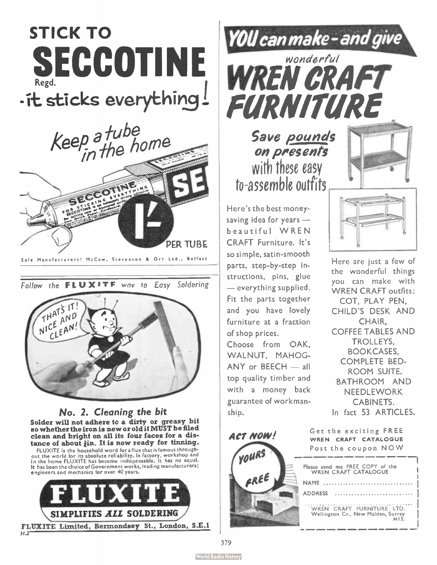## STICK TO SECCOTINE Regd. -it sticks everything!



Follow the FLUXITF way to Easy Soldering



No. 2. Cleaning the bit Solder will not adhere to a dirty or greasy bit so whether the iron is new or old it MUST be filed clean and bright on all its four faces for a distance of about  $\frac{3}{4}$ in. It is now ready for tinning.

FLUXITE is the household word for a flux that is famous throughout the world for its absolute reliability. In factory, workshop and in the home FLUXITE has become indispensable. It has no equal. It has been the choice of Government works, leading manufacturers; engineers and mechanics for over 40 years.





on presents with these easy to-assemble outfits

Here's the best moneysaving idea for years beautiful WREN CRAFT Furniture. It's so simple, satin-smooth parts, step-by-step instructions, pins, glue — everything supplied. Fit the parts together and you have lovely furniture at a fraction of shop prices.

Choose from OAK, WALNUT, MAHOG-ANY or BEECH — all top quality timber and with a money back guarantee of workmanship.



Here are just a few of the wonderful things you can make with WREN CRAFT outfits: COT, PLAY PEN, CHILD'S DESK AND CHAIR, COFFEE TABLES AND TROLLEYS, BOOKCASES, COMPLETE BED-ROOM SUITE. BATHROOM AND NEEDLEWORK CABINETS. In fact 53 ARTICLES.

Get the exciting FREE **ACT NOW!** WREN CRAFT CATALOGUE Post the coupon NOW Please send me FREE COPY of the WREN CRAFT CATALOGUE arel NAME ........................... ADDRESS ..................... WREN CRAFT FURNITURE LTD. Wellington Cr., New Malden, Surrey HIS.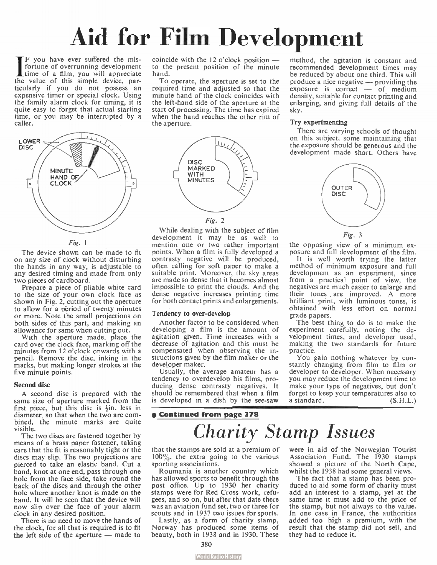# Aid for Film Development

If you have ever suffered the mis-<br>fortune of overrunning development<br>time of a film, you will appreciate **F** F you have ever suffered the misfortune of overrunning development the value of this simple device, particularly if you do not possess an expensive timer or special clock. Using the family alarm clock for timing, it is quite easy to forget that actual starting time, or you may be interrupted by a caller.



Fig. 1

The device shown can be made to fit on any size of clock without disturbing the hands in any way, is adjustable to any desired timing and made from only two pieces of cardboard.

Prepare a piece of pliable white card to the size of your own clock face as shown in Fig. 2, cutting out the aperture to allow for a period of twenty minutes or more. Note the small projections on both sides of this part, and making an allowance for same when cutting out.

With the aperture made, place the card over the clock face, marking off the minutes from 12 o'clock onwards with a pencil. Remove the disc, inking in the marks, but making longer strokes at the five minute points.

### Second disc

A second disc is prepared with the same size of aperture marked from the first piece, but this disc is  $\frac{1}{2}$ in. less in diameter, so that when the two are combined, the minute marks are quite visible.

The two discs are fastened together by means of a brass paper fastener, taking care that the fit is reasonably tight or the discs may slip. The two projections are pierced to take an elastic band. Cut a band, knot at one end, pass through one hole from the face side, take round the back of the discs and through the other hole where another knot is made on the band. It will be seen that the device will now slip over the face of your alarm clock in any desired position.

There is no need to move the hands of the clock, for all that is required is to fit the left side of the aperture — made to coincide with the 12 o'clock position to the present position of the minute hand.

To operate, the aperture is set to the required time and adjusted so that the minute hand of the clock coincides with the left-hand side of the aperture at the start of processing. The time has expired when the hand reaches the other rim of the aperture.



While dealing with the subject of film development it may be as well to mention one or two rather important points. When a film is fully developed a contrasty negative will be produced, often calling for soft paper to make a suitable print. Moreover, the sky areas are made so dense that it becomes almost impossible to print the clouds. And the dense negative increases printing time for both contact prints and enlargements.

### Tendency to over-develop

Another factor to be considered when developing a film is the amount of agitation given. Time increases with a decrease of agitation and this must be compensated when observing the instructions given by the film maker or the developer maker.

Usually, the average amateur has a tendency to overdevelop his films, producing dense contrasty negatives. It should be remembered that when a film is developed in a dish by the see-saw

### **e Continued from page 378**

method, the agitation is constant and recommended development times may be reduced by about one third. This will produce a nice negative — providing the  $\epsilon$ xposure is correct  $-\epsilon$  of medium density, suitable for contact printing and enlarging, and giving full details of the sky.

### Try experimenting

There are varying schools of thought on this subject, some maintaining that the exposure should be generous and the development made short. Others have



the opposing view of a minimum exposure and full development of the film.

It is well worth trying the latter method of minimum exposure and full development as an experiment, since from a practical point of view, the negatives are much easier to enlarge and their tones. are improved. A more brilliant print, with luminous tones, is obtained with less effort on normal grade papers.

The best thing to do is to make the experiment carefully, noting the development times, and developer used, making the two standards for future practice.

You gain nothing whatever by constantly changing from film to film or developer to developer. When necessary you may reduce the development time to make your type of negatives, but don't forget to keep your temperatures also to a standard. (S.H.L.)

## Charity Stamp Issues

that the stamps are sold at a premium of  $100\%$ , the extra going to the various sporting associations.

Roumania is another country which has allowed sports to benefit through the post office. Up to 1930 her charity stamps were for Red Cross work, refugees, and so on, but after that date there was an aviation fund set, two or three for scouts and in 1937 two issues for sports.

Lastly, as a form of charity stamp, Norway has produced some items of beauty, both in 1938 and in 1930. These were in aid of the Norwegian Tourist Association Fund. The 1930 stamps showed a picture of the North Cape, whilst the 1938 had some general views.

The fact that a stamp has been produced to aid some form of charity must add an interest to a stamp, yet at the same time it must add to the price of the stamp, but not always to the value. In one case in France, the authorities added too high a premium, with the result that the stamp did not sell, and they had to reduce it.

380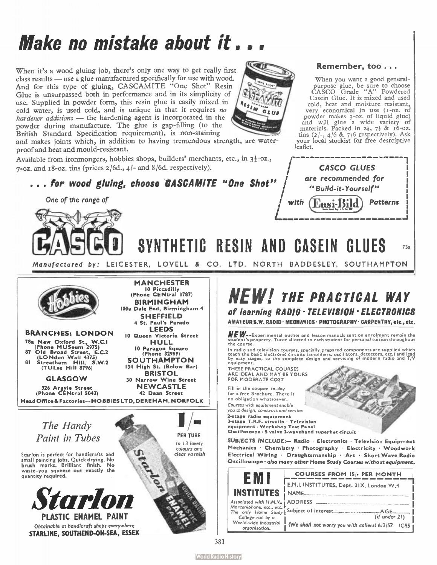## Make no mistake about it...

When it's a wood gluing job, there's only one way to get really first class results — use a glue manufactured specifically for use with wood. And for this type of gluing, CASCAMITE "One Shot" Resin Glue is unsurpassed both in performance and in its simplicity of use. Supplied in powder form, this resin glue is easily mixed in cold water, is used cold, and is unique in that it requires no hardener additions — the hardening agent is incorporated in the powder during manufacture. The glue is gap-filling (to the British Standard Specification requirement), is non-staining

and makes joints which, in addition to having tremendous strength, are waterproof and heat and mould-resistant.

Available from ironmongers, hobbies shops, builders' merchants, etc., in 3}-oz.,  $7-\alpha$  and  $18-\alpha$ , tins (prices  $2/6d$ ,  $4/-$  and  $8/6d$ , respectively).



One of the range of the range of the state of the state of the state of the state of the state of the state of the state of the state of the state of the state of the state of the state of the state of the state of the sta



STARLINE, SOUTHEND-ON-SEA, ESSEX





### Remember, too...

When you want a good generalpurpose glue, be sure to choose CASCO Grade " A" Powdered Casein Glue. It is mixed and used cold, heat and moisture resistant, very economical in use (1-oz. of powder makes 3-oz. of liquid glue) and will glue a wide variety of materials. Packed in  $2\frac{1}{2}$ ,  $7\frac{1}{2}$  &  $16-0z$ . tins  $(2/-, 4/6 \& 7/6$  respectively). Ask your local stockist for free desrciptive leaflet.

CASCO GLUES ore recommended for "Build-it-Yourself"

Easi-Bild

Patterns

### NEW! THE PRACTICAL WAY of learning RADIO » TELEVISION • ELECTRONICS

AMATEUR S.W. RADIO · MECHANICS · PHOTOGRAPHY · CARPENTRY, etc., etc.

NEW— Experimental outfits and lesson manuals sent on enrolment remain the student's property. Tutor allotted to each student for personal tuition throughout

In radio and television courses, specially prepared components are supplied which<br>teach the basic electronic circuits (amplifiers, oscillators, detectors, etc.) and lead<br>by easy stages, to the complete design and servicing

THESE PRACTICAL COURSES ARE IDEAL AND MAY BE YOURS FOR MODERATE COST

SYNTHETIC RESIN AND CASEIN GLUES 73a

Fill in the coupon to-day for a free Brochure. There is no obligation whatsoever. Courses with equipment enable you to design, construct and service 2-stage radio equipment<br>3-stage T.R.F. circuits · Television

equipment • Workshop Test Panel Oscilloscope • 5 valve 3-waveband superhet circuit

SUBJECTS INCLUDE:- Radio · Electronics · Television Equipment Mechanics • Chemistry • Photography • Electricity • Woodwork Electrical Wiring • Draughtsmanship • Art • Short Wave Radio Oscilloscope . also many other Home Study Courses without equipment.

|                                                                      | <b>COURSES FROM 15/- PER MONTH</b>           |
|----------------------------------------------------------------------|----------------------------------------------|
|                                                                      | E.M.I. INSTITUTES, Dept. 31X, London W.4     |
| <b>INSTITUTES</b>                                                    | <b>NAME</b>                                  |
| Associoted with H.M.V., ¿ ADDRESS                                    |                                              |
| Morconiphone, etc., etc.<br>The only Home Study Subject of interest. | A GE                                         |
| College run by o                                                     | (if under 21)                                |
| World-wide industrial<br>orgonisation.                               | (We shall not worry you with callers) 6/3/57 |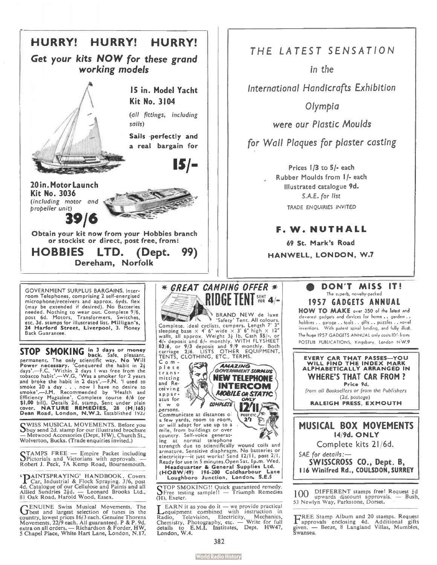

**STOP SMOKING** back. Safe, pleasant, permanent. The only scientific way. No Will<br>power necessary. Conquered the habit in  $2\frac{1}{3}$  days'.—F.C. 'Within 2 days I was free from the tobacco habit .—W.G. 'Was a smoker for 2 y Efficiency Magazine'. Complete course 6/6 (or<br>\$1.00 bill). Details 2d. stamp. Sent under plain<br>cover. NATURE REMEDIES, 28 (M/165)<br>Dean Road, London, N.W.2. Established 1922

CWISS MUSICAL MOVEMENTS. Before you )buy send 2d. stamp for our illustrated brochure — Metwood Accessories ( Dept. HW), Church St., Wolverton, Bucks. ( Trade enquiries invited.)

CTAMPS FREE — Empire Packet including OPictorials and Victorians with approvals. — Robert J. Peck, 7A Kemp Road, Bournemouth.

**The Car, Industrial & Flock Spraying.** 3/6, post 4d. Catalogue of our Cellulose and Paints and all Allied Sundries 2 $\frac{1}{2}d$ . — Leonard Brooks Ltd., 81 Oak Road, Harold Wood, Essex.

**CENUINE Swiss Musical Movements.** The country, lowest prices is election of tunes in the country, lowest prices 16/3 each. Genuine Thorens Movements, 22/9 each. All guaranteed. P & P. 9d. extra on all orders. — Richardson



LEARN it as you do it — we provide practical<br>Redio, Television, Electricity, Mechanics,<br>Chemistry, Photography, etc. — Write for full<br>details to E.M.I. Institutes, Dept. HW47, details to E<br>London, W.4.

### THE LATEST SENSATION

in the

International Handicrafts Exhibition

Olympia

were our Plastic Moulds

for Wall Plaques for plaster casting

Prices 1/3 to 5/- each Rubber Moulds from 1 /- each Illustrated catalogue 9d. S.A.E. for list TRADE ENQUIRIES INVITED

### F. W. NUTHALL

69 St. Mark's Road HANWELL, LONDON, W.7

### • DON'T MISS IT! The superb, novelty-packed 1957 GADGETS ANNUAL

HOW TO MAKE over 350 oi the latest and cleverest gadgets and devices for home .. garden .. hobbies .. garage .. tools • . gifts .. puzzles .. novel inventions. With patent spiral binding, and fully illust. The huge 1957 GADGETS ANNUAL only costs 10'. Front POSTLIB PUBLICATIONS, Kingsbury, London NW.9



<sup>I</sup> 00 DIFFERENT stamps free! Request Id upwards discount approvals. — Bush, 53 Newlyn Way, Parkstone, Dorset.

FREE Stamp Album and 20 stamps. Request approvals enclosing 4d. Additional gifts given. — Beeze, 8 Langland Villas, Mumbles, Swansea.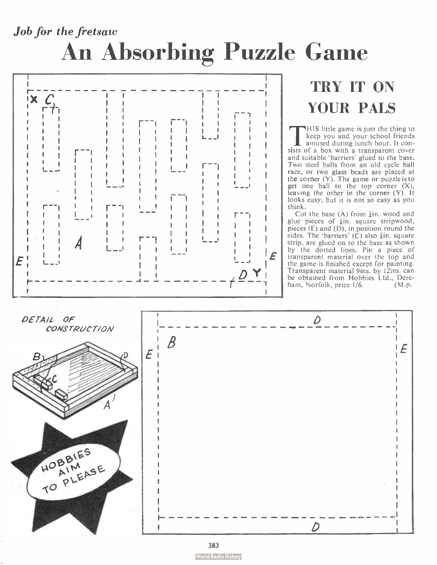## Job for the fretsaw An Absorbing Puzzle Game



### TRY IT ON YOUR PALS

**THIS** little game is just the thing to<br>
keep you and your school friends<br>
amused during lunch hour. It con-<br>
sists of a box with a transparent cover HIS little game is just the thing to keep you and your school friends amused during lunch hour. It conand suitable 'barriers' glued to the base. Two steel balls from an old cycle ball race, or two glass beads are placed at the corner  $(Y)$ . The game or puzzle is to get one ball to the top corner  $(X)$ , leaving the other in the corner (Y). It looks easy, but it is not so easy as you think.

Cut the base  $(A)$  from  $\frac{1}{4}$ in. wood and glue pieces of  $\frac{1}{2}$ in. square stripwood, pieces  $(E)$  and  $(D)$ , in position round the sides. The 'barriers'  $(C)$  also  $\frac{1}{2}$ in. square strip, are glued on to the base as shown by the dotted lines. Pin a piece of transparent material over the top and the game is finished except for painting. Transparent material 9ins. by I2ins. can be obtained from Hobbies Ltd., Dereham, Norfolk, price 1/6. (M.p.